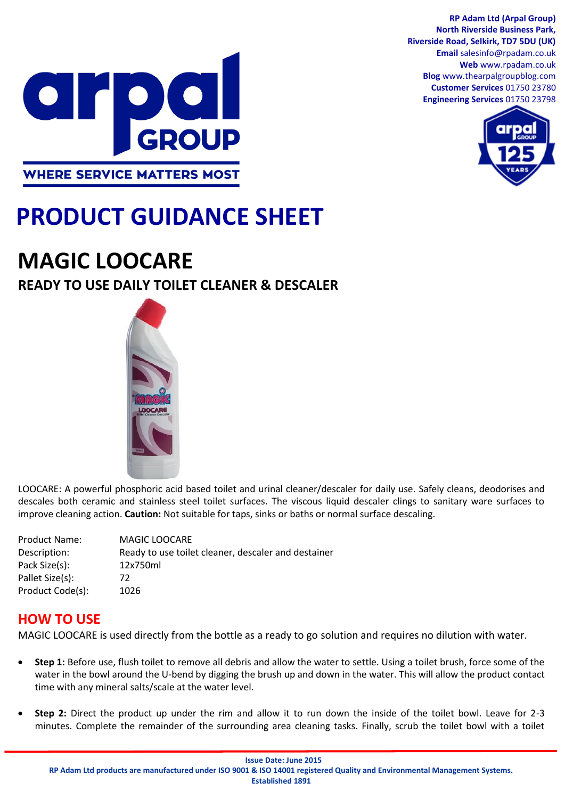

**North Riverside Business Park, Riverside Road, Selkirk, TD7 5DU (UK) Email** salesinfo@rpadam.co.uk **Web** www.rpadam.co.uk **Blog** www.thearpalgroupblog.com **Customer Services** 01750 23780 **Engineering Services** 01750 23798

**RP Adam Ltd (Arpal Group)**



# **PRODUCT GUIDANCE SHEET**

## **MAGIC LOOCARE**

### **READY TO USE DAILY TOILET CLEANER & DESCALER**



LOOCARE: A powerful phosphoric acid based toilet and urinal cleaner/descaler for daily use. Safely cleans, deodorises and descales both ceramic and stainless steel toilet surfaces. The viscous liquid descaler clings to sanitary ware surfaces to improve cleaning action. **Caution:** Not suitable for taps, sinks or baths or normal surface descaling.

| <b>Product Name:</b> | <b>MAGIC LOOCARE</b>                                |
|----------------------|-----------------------------------------------------|
| Description:         | Ready to use toilet cleaner, descaler and destainer |
| Pack Size(s):        | 12x750ml                                            |
| Pallet Size(s):      | 72                                                  |
| Product Code(s):     | 1026                                                |

#### **HOW TO USE**

MAGIC LOOCARE is used directly from the bottle as a ready to go solution and requires no dilution with water.

- **Step 1:** Before use, flush toilet to remove all debris and allow the water to settle. Using a toilet brush, force some of the water in the bowl around the U-bend by digging the brush up and down in the water. This will allow the product contact time with any mineral salts/scale at the water level.
- **Step 2:** Direct the product up under the rim and allow it to run down the inside of the toilet bowl. Leave for 2-3 minutes. Complete the remainder of the surrounding area cleaning tasks. Finally, scrub the toilet bowl with a toilet